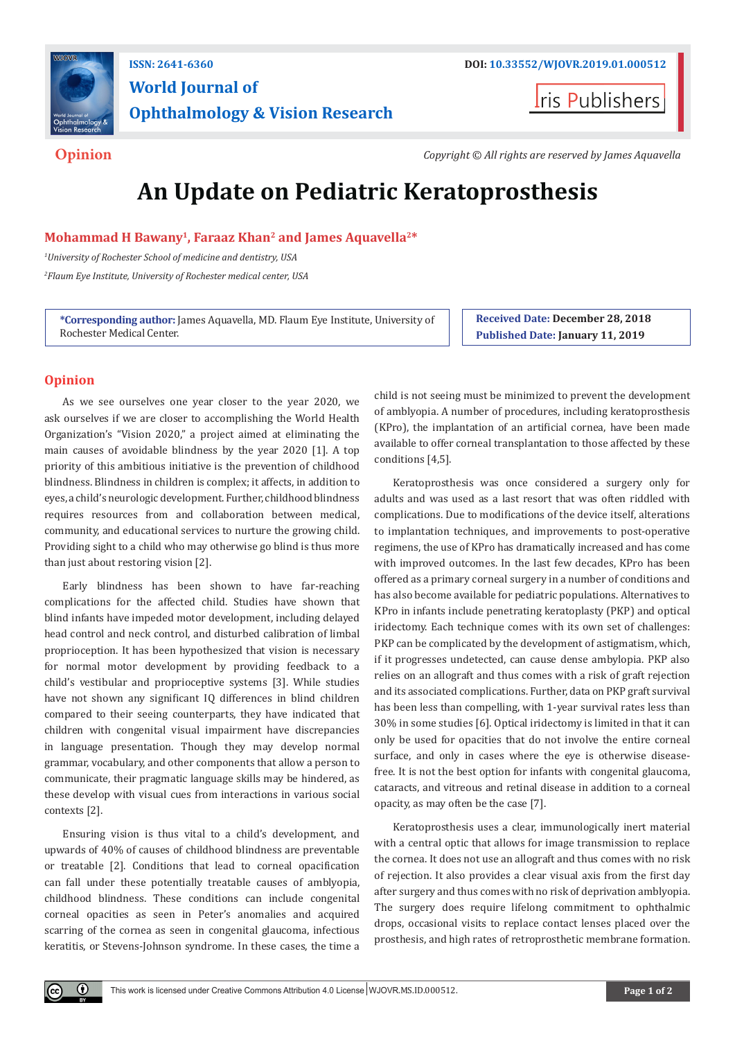

## **ISSN: 2641-6360 DOI: [10.33552/WJOVR.2019.01.000512](http://dx.doi.org/10.33552/WJOVR.2019.01.000512) World Journal of Ophthalmology & Vision Research**

**I**ris Publishers

**Opinion** *Copyright © All rights are reserved by James Aquavella*

# **An Update on Pediatric Keratoprosthesis**

**Mohammad H Bawany1, Faraaz Khan2 and James Aquavella2\*** 

*1 University of Rochester School of medicine and dentistry, USA 2 Flaum Eye Institute, University of Rochester medical center, USA*

**\*Corresponding author:** James Aquavella, MD. Flaum Eye Institute, University of Rochester Medical Center.

**Received Date: December 28, 2018 Published Date: January 11, 2019**

### **Opinion**

As we see ourselves one year closer to the year 2020, we ask ourselves if we are closer to accomplishing the World Health Organization's "Vision 2020," a project aimed at eliminating the main causes of avoidable blindness by the year 2020 [1]. A top priority of this ambitious initiative is the prevention of childhood blindness. Blindness in children is complex; it affects, in addition to eyes, a child's neurologic development. Further, childhood blindness requires resources from and collaboration between medical, community, and educational services to nurture the growing child. Providing sight to a child who may otherwise go blind is thus more than just about restoring vision [2].

Early blindness has been shown to have far-reaching complications for the affected child. Studies have shown that blind infants have impeded motor development, including delayed head control and neck control, and disturbed calibration of limbal proprioception. It has been hypothesized that vision is necessary for normal motor development by providing feedback to a child's vestibular and proprioceptive systems [3]. While studies have not shown any significant IQ differences in blind children compared to their seeing counterparts, they have indicated that children with congenital visual impairment have discrepancies in language presentation. Though they may develop normal grammar, vocabulary, and other components that allow a person to communicate, their pragmatic language skills may be hindered, as these develop with visual cues from interactions in various social contexts [2].

Ensuring vision is thus vital to a child's development, and upwards of 40% of causes of childhood blindness are preventable or treatable [2]. Conditions that lead to corneal opacification can fall under these potentially treatable causes of amblyopia, childhood blindness. These conditions can include congenital corneal opacities as seen in Peter's anomalies and acquired scarring of the cornea as seen in congenital glaucoma, infectious keratitis, or Stevens-Johnson syndrome. In these cases, the time a

child is not seeing must be minimized to prevent the development of amblyopia. A number of procedures, including keratoprosthesis (KPro), the implantation of an artificial cornea, have been made available to offer corneal transplantation to those affected by these conditions [4,5].

Keratoprosthesis was once considered a surgery only for adults and was used as a last resort that was often riddled with complications. Due to modifications of the device itself, alterations to implantation techniques, and improvements to post-operative regimens, the use of KPro has dramatically increased and has come with improved outcomes. In the last few decades, KPro has been offered as a primary corneal surgery in a number of conditions and has also become available for pediatric populations. Alternatives to KPro in infants include penetrating keratoplasty (PKP) and optical iridectomy. Each technique comes with its own set of challenges: PKP can be complicated by the development of astigmatism, which, if it progresses undetected, can cause dense ambylopia. PKP also relies on an allograft and thus comes with a risk of graft rejection and its associated complications. Further, data on PKP graft survival has been less than compelling, with 1-year survival rates less than 30% in some studies [6]. Optical iridectomy is limited in that it can only be used for opacities that do not involve the entire corneal surface, and only in cases where the eye is otherwise diseasefree. It is not the best option for infants with congenital glaucoma, cataracts, and vitreous and retinal disease in addition to a corneal opacity, as may often be the case [7].

Keratoprosthesis uses a clear, immunologically inert material with a central optic that allows for image transmission to replace the cornea. It does not use an allograft and thus comes with no risk of rejection. It also provides a clear visual axis from the first day after surgery and thus comes with no risk of deprivation amblyopia. The surgery does require lifelong commitment to ophthalmic drops, occasional visits to replace contact lenses placed over the prosthesis, and high rates of retroprosthetic membrane formation.